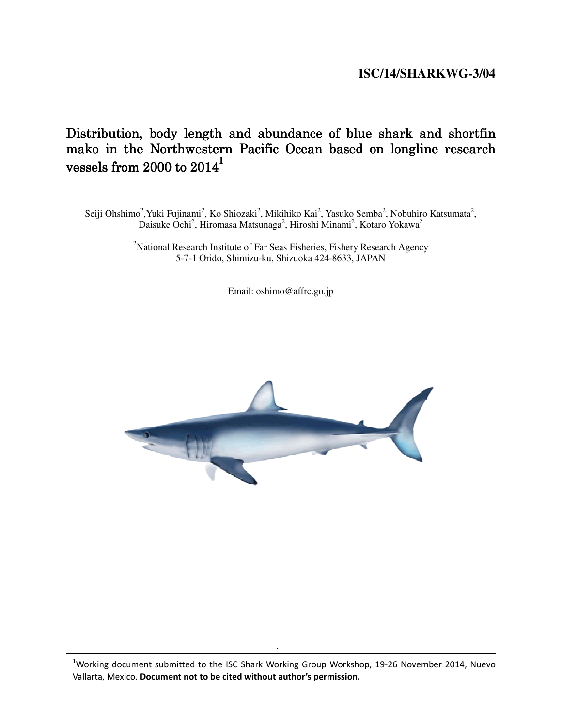## **ISC/14/SHARKWG-3/04**

# Distribution, body length and abundance of blue shark and shortfin mako in the Northwestern Pacific Ocean based on longline research vessels from 2000 to  $2014<sup>1</sup>$

Seiji Ohshimo<sup>2</sup>, Yuki Fujinami<sup>2</sup>, Ko Shiozaki<sup>2</sup>, Mikihiko Kai<sup>2</sup>, Yasuko Semba<sup>2</sup>, Nobuhiro Katsumata<sup>2</sup>, Daisuke Ochi<sup>2</sup>, Hiromasa Matsunaga<sup>2</sup>, Hiroshi Minami<sup>2</sup>, Kotaro Yokawa<sup>2</sup>

> <sup>2</sup>National Research Institute of Far Seas Fisheries, Fishery Research Agency 5-7-1 Orido, Shimizu-ku, Shizuoka 424-8633, JAPAN

> > Email: oshimo@affrc.go.jp



.

 $1$ Working document submitted to the ISC Shark Working Group Workshop, 19-26 November 2014, Nuevo Vallarta, Mexico. Document not to be cited without author's permission.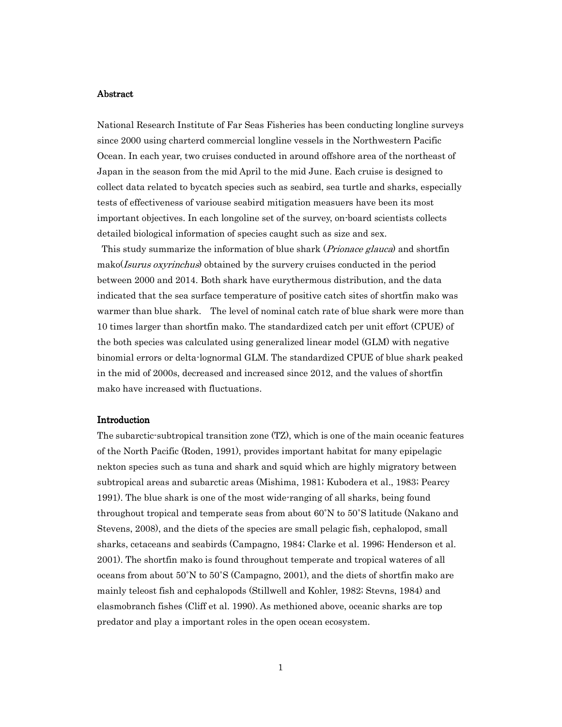#### Abstract

National Research Institute of Far Seas Fisheries has been conducting longline surveys since 2000 using charterd commercial longline vessels in the Northwestern Pacific Ocean. In each year, two cruises conducted in around offshore area of the northeast of Japan in the season from the mid April to the mid June. Each cruise is designed to collect data related to bycatch species such as seabird, sea turtle and sharks, especially tests of effectiveness of variouse seabird mitigation measuers have been its most important objectives. In each longoline set of the survey, on-board scientists collects detailed biological information of species caught such as size and sex.

This study summarize the information of blue shark (*Prionace glauca*) and shortfin mako(*Isurus oxyrinchus*) obtained by the survery cruises conducted in the period between 2000 and 2014. Both shark have eurythermous distribution, and the data indicated that the sea surface temperature of positive catch sites of shortfin mako was warmer than blue shark. The level of nominal catch rate of blue shark were more than 10 times larger than shortfin mako. The standardized catch per unit effort (CPUE) of the both species was calculated using generalized linear model (GLM) with negative binomial errors or delta-lognormal GLM. The standardized CPUE of blue shark peaked in the mid of 2000s, decreased and increased since 2012, and the values of shortfin mako have increased with fluctuations.

#### Introduction

The subarctic-subtropical transition zone (TZ), which is one of the main oceanic features of the North Pacific (Roden, 1991), provides important habitat for many epipelagic nekton species such as tuna and shark and squid which are highly migratory between subtropical areas and subarctic areas (Mishima, 1981; Kubodera et al., 1983; Pearcy 1991). The blue shark is one of the most wide-ranging of all sharks, being found throughout tropical and temperate seas from about 60˚N to 50˚S latitude (Nakano and Stevens, 2008), and the diets of the species are small pelagic fish, cephalopod, small sharks, cetaceans and seabirds (Campagno, 1984; Clarke et al. 1996; Henderson et al. 2001). The shortfin mako is found throughout temperate and tropical wateres of all oceans from about 50˚N to 50˚S (Campagno, 2001), and the diets of shortfin mako are mainly teleost fish and cephalopods (Stillwell and Kohler, 1982; Stevns, 1984) and elasmobranch fishes (Cliff et al. 1990). As methioned above, oceanic sharks are top predator and play a important roles in the open ocean ecosystem.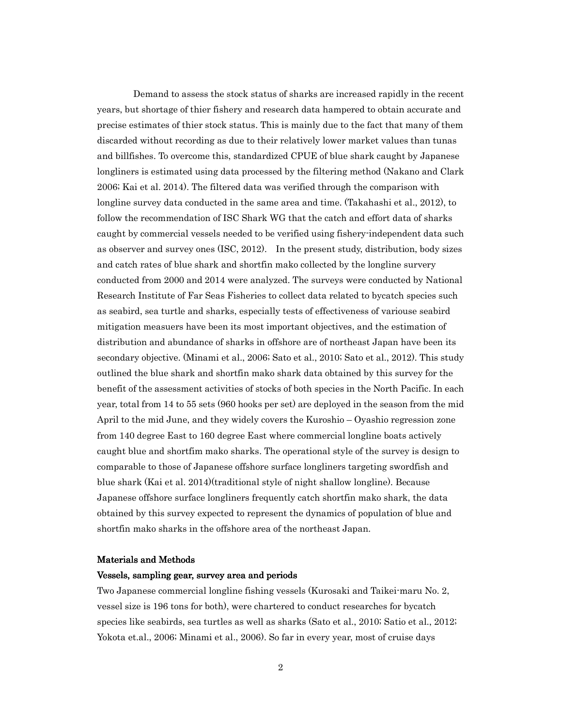Demand to assess the stock status of sharks are increased rapidly in the recent years, but shortage of thier fishery and research data hampered to obtain accurate and precise estimates of thier stock status. This is mainly due to the fact that many of them discarded without recording as due to their relatively lower market values than tunas and billfishes. To overcome this, standardized CPUE of blue shark caught by Japanese longliners is estimated using data processed by the filtering method (Nakano and Clark 2006; Kai et al. 2014). The filtered data was verified through the comparison with longline survey data conducted in the same area and time. (Takahashi et al., 2012), to follow the recommendation of ISC Shark WG that the catch and effort data of sharks caught by commercial vessels needed to be verified using fishery-independent data such as observer and survey ones (ISC, 2012). In the present study, distribution, body sizes and catch rates of blue shark and shortfin mako collected by the longline survery conducted from 2000 and 2014 were analyzed. The surveys were conducted by National Research Institute of Far Seas Fisheries to collect data related to bycatch species such as seabird, sea turtle and sharks, especially tests of effectiveness of variouse seabird mitigation measuers have been its most important objectives, and the estimation of distribution and abundance of sharks in offshore are of northeast Japan have been its secondary objective. (Minami et al., 2006; Sato et al., 2010; Sato et al., 2012). This study outlined the blue shark and shortfin mako shark data obtained by this survey for the benefit of the assessment activities of stocks of both species in the North Pacific. In each year, total from 14 to 55 sets (960 hooks per set) are deployed in the season from the mid April to the mid June, and they widely covers the Kuroshio – Oyashio regression zone from 140 degree East to 160 degree East where commercial longline boats actively caught blue and shortfim mako sharks. The operational style of the survey is design to comparable to those of Japanese offshore surface longliners targeting swordfish and blue shark (Kai et al. 2014)(traditional style of night shallow longline). Because Japanese offshore surface longliners frequently catch shortfin mako shark, the data obtained by this survey expected to represent the dynamics of population of blue and shortfin mako sharks in the offshore area of the northeast Japan.

## Materials and Methods

#### Vessels, sampling gear, survey area and periods

Two Japanese commercial longline fishing vessels (Kurosaki and Taikei-maru No. 2, vessel size is 196 tons for both), were chartered to conduct researches for bycatch species like seabirds, sea turtles as well as sharks (Sato et al., 2010; Satio et al., 2012; Yokota et.al., 2006; Minami et al., 2006). So far in every year, most of cruise days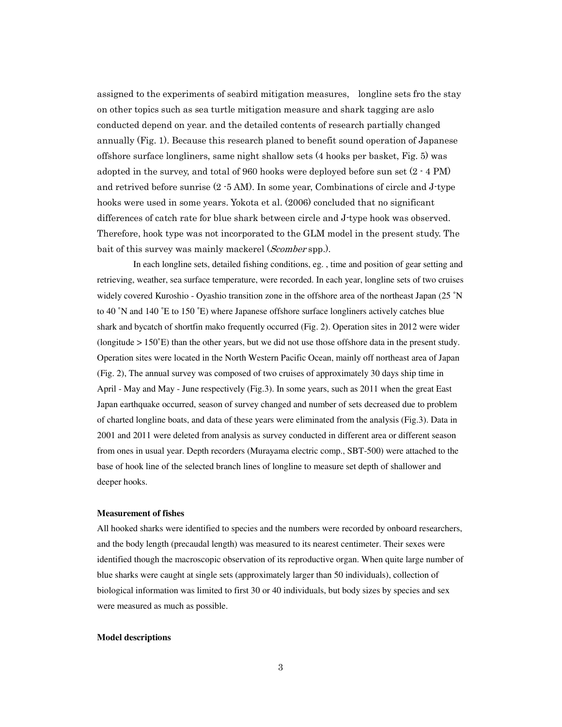assigned to the experiments of seabird mitigation measures, longline sets fro the stay on other topics such as sea turtle mitigation measure and shark tagging are aslo conducted depend on year. and the detailed contents of research partially changed annually (Fig. 1). Because this research planed to benefit sound operation of Japanese offshore surface longliners, same night shallow sets (4 hooks per basket, Fig. 5) was adopted in the survey, and total of 960 hooks were deployed before sun set  $(2 \cdot 4 \text{ PM})$ and retrived before sunrise (2 -5 AM). In some year, Combinations of circle and J-type hooks were used in some years. Yokota et al. (2006) concluded that no significant differences of catch rate for blue shark between circle and J-type hook was observed. Therefore, hook type was not incorporated to the GLM model in the present study. The bait of this survey was mainly mackerel (*Scomber* spp.).

In each longline sets, detailed fishing conditions, eg. , time and position of gear setting and retrieving, weather, sea surface temperature, were recorded. In each year, longline sets of two cruises widely covered Kuroshio - Oyashio transition zone in the offshore area of the northeast Japan (25 °N to 40 ˚N and 140 ˚E to 150 ˚E) where Japanese offshore surface longliners actively catches blue shark and bycatch of shortfin mako frequently occurred (Fig. 2). Operation sites in 2012 were wider (longitude > 150˚E) than the other years, but we did not use those offshore data in the present study. Operation sites were located in the North Western Pacific Ocean, mainly off northeast area of Japan (Fig. 2), The annual survey was composed of two cruises of approximately 30 days ship time in April - May and May - June respectively (Fig.3). In some years, such as 2011 when the great East Japan earthquake occurred, season of survey changed and number of sets decreased due to problem of charted longline boats, and data of these years were eliminated from the analysis (Fig.3). Data in 2001 and 2011 were deleted from analysis as survey conducted in different area or different season from ones in usual year. Depth recorders (Murayama electric comp., SBT-500) were attached to the base of hook line of the selected branch lines of longline to measure set depth of shallower and deeper hooks.

#### **Measurement of fishes**

All hooked sharks were identified to species and the numbers were recorded by onboard researchers, and the body length (precaudal length) was measured to its nearest centimeter. Their sexes were identified though the macroscopic observation of its reproductive organ. When quite large number of blue sharks were caught at single sets (approximately larger than 50 individuals), collection of biological information was limited to first 30 or 40 individuals, but body sizes by species and sex were measured as much as possible.

#### **Model descriptions**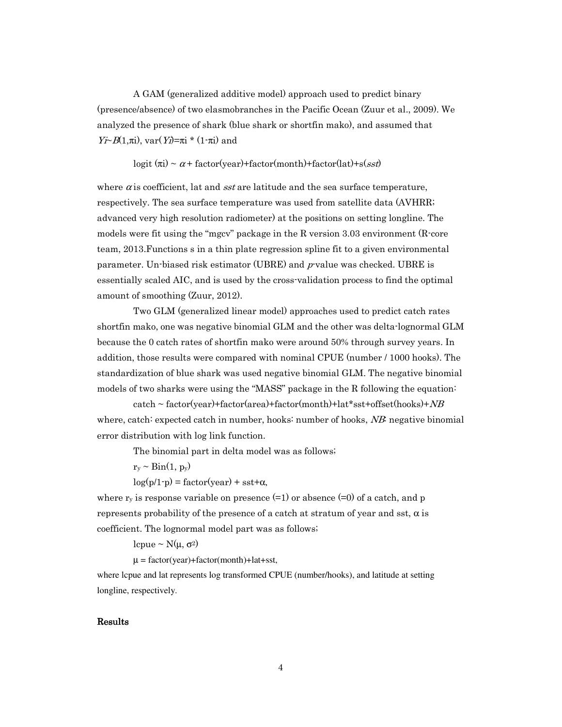A GAM (generalized additive model) approach used to predict binary (presence/absence) of two elasmobranches in the Pacific Ocean (Zuur et al., 2009). We analyzed the presence of shark (blue shark or shortfin mako), and assumed that  $Y*i*∼*B*(1,πi)$ , var(Y*i*)=πi \* (1-πi) and

logit  $(\pi i) \sim \alpha +$  factor(year)+factor(month)+factor(lat)+s(sst)

where  $\alpha$  is coefficient, lat and sst are latitude and the sea surface temperature, respectively. The sea surface temperature was used from satellite data (AVHRR; advanced very high resolution radiometer) at the positions on setting longline. The models were fit using the "mgcv" package in the R version  $3.03$  environment (R-core team, 2013.Functions s in a thin plate regression spline fit to a given environmental parameter. Un-biased risk estimator (UBRE) and  $p$ -value was checked. UBRE is essentially scaled AIC, and is used by the cross-validation process to find the optimal amount of smoothing (Zuur, 2012).

Two GLM (generalized linear model) approaches used to predict catch rates shortfin mako, one was negative binomial GLM and the other was delta-lognormal GLM because the 0 catch rates of shortfin mako were around 50% through survey years. In addition, those results were compared with nominal CPUE (number / 1000 hooks). The standardization of blue shark was used negative binomial GLM. The negative binomial models of two sharks were using the "MASS" package in the R following the equation:

 $\text{catch} \sim \text{factor}(\text{year}) + \text{factor}(\text{area}) + \text{factor}(\text{month}) + \text{lat}^* \text{sst} + \text{offset}(\text{hook}) + NB$ where, catch: expected catch in number, hooks: number of hooks,  $NB$ : negative binomial error distribution with log link function.

The binomial part in delta model was as follows;

 $r_y \sim Bin(1, p_y)$ 

 $log(p/1-p) = factor(year) + sst+\alpha$ ,

where  $r_v$  is response variable on presence (=1) or absence (=0) of a catch, and p represents probability of the presence of a catch at stratum of year and sst,  $\alpha$  is coefficient. The lognormal model part was as follows;

lcpue ~  $N(\mu, σ^2)$ 

 $\mu = factor(year) + factor(month) + lat + sst,$ 

where lcpue and lat represents log transformed CPUE (number/hooks), and latitude at setting longline, respectively.

#### Results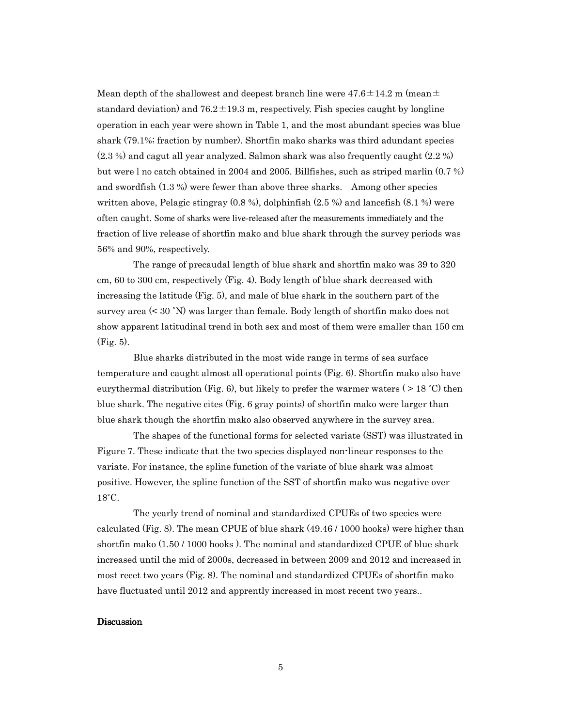Mean depth of the shallowest and deepest branch line were  $47.6\pm14.2$  m (mean $\pm$ standard deviation) and  $76.2 \pm 19.3$  m, respectively. Fish species caught by longline operation in each year were shown in Table 1, and the most abundant species was blue shark (79.1%; fraction by number). Shortfin mako sharks was third adundant species (2.3 %) and cagut all year analyzed. Salmon shark was also frequently caught (2.2 %) but were l no catch obtained in 2004 and 2005. Billfishes, such as striped marlin (0.7 %) and swordfish (1.3 %) were fewer than above three sharks. Among other species written above, Pelagic stingray (0.8 %), dolphinfish (2.5 %) and lancefish (8.1 %) were often caught. Some of sharks were live-released after the measurements immediately and the fraction of live release of shortfin mako and blue shark through the survey periods was 56% and 90%, respectively.

The range of precaudal length of blue shark and shortfin mako was 39 to 320 cm, 60 to 300 cm, respectively (Fig. 4). Body length of blue shark decreased with increasing the latitude (Fig. 5), and male of blue shark in the southern part of the survey area (< 30 ˚N) was larger than female. Body length of shortfin mako does not show apparent latitudinal trend in both sex and most of them were smaller than 150 cm (Fig. 5).

Blue sharks distributed in the most wide range in terms of sea surface temperature and caught almost all operational points (Fig. 6). Shortfin mako also have eurythermal distribution (Fig. 6), but likely to prefer the warmer waters ( $> 18 °C$ ) then blue shark. The negative cites (Fig. 6 gray points) of shortfin mako were larger than blue shark though the shortfin mako also observed anywhere in the survey area.

The shapes of the functional forms for selected variate (SST) was illustrated in Figure 7. These indicate that the two species displayed non-linear responses to the variate. For instance, the spline function of the variate of blue shark was almost positive. However, the spline function of the SST of shortfin mako was negative over 18˚C.

The yearly trend of nominal and standardized CPUEs of two species were calculated (Fig. 8). The mean CPUE of blue shark (49.46 / 1000 hooks) were higher than shortfin mako (1.50 / 1000 hooks ). The nominal and standardized CPUE of blue shark increased until the mid of 2000s, decreased in between 2009 and 2012 and increased in most recet two years (Fig. 8). The nominal and standardized CPUEs of shortfin mako have fluctuated until 2012 and apprently increased in most recent two years..

#### **Discussion**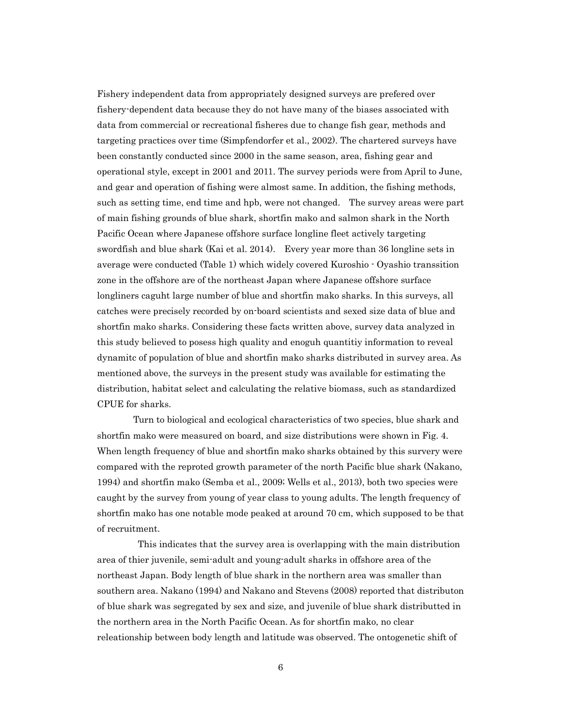Fishery independent data from appropriately designed surveys are prefered over fishery-dependent data because they do not have many of the biases associated with data from commercial or recreational fisheres due to change fish gear, methods and targeting practices over time (Simpfendorfer et al., 2002). The chartered surveys have been constantly conducted since 2000 in the same season, area, fishing gear and operational style, except in 2001 and 2011. The survey periods were from April to June, and gear and operation of fishing were almost same. In addition, the fishing methods, such as setting time, end time and hpb, were not changed. The survey areas were part of main fishing grounds of blue shark, shortfin mako and salmon shark in the North Pacific Ocean where Japanese offshore surface longline fleet actively targeting swordfish and blue shark (Kai et al. 2014). Every year more than 36 longline sets in average were conducted (Table 1) which widely covered Kuroshio - Oyashio transsition zone in the offshore are of the northeast Japan where Japanese offshore surface longliners caguht large number of blue and shortfin mako sharks. In this surveys, all catches were precisely recorded by on-board scientists and sexed size data of blue and shortfin mako sharks. Considering these facts written above, survey data analyzed in this study believed to posess high quality and enoguh quantitiy information to reveal dynamitc of population of blue and shortfin mako sharks distributed in survey area. As mentioned above, the surveys in the present study was available for estimating the distribution, habitat select and calculating the relative biomass, such as standardized CPUE for sharks.

Turn to biological and ecological characteristics of two species, blue shark and shortfin mako were measured on board, and size distributions were shown in Fig. 4. When length frequency of blue and shortfin mako sharks obtained by this survery were compared with the reproted growth parameter of the north Pacific blue shark (Nakano, 1994) and shortfin mako (Semba et al., 2009; Wells et al., 2013), both two species were caught by the survey from young of year class to young adults. The length frequency of shortfin mako has one notable mode peaked at around 70 cm, which supposed to be that of recruitment.

 This indicates that the survey area is overlapping with the main distribution area of thier juvenile, semi-adult and young-adult sharks in offshore area of the northeast Japan. Body length of blue shark in the northern area was smaller than southern area. Nakano (1994) and Nakano and Stevens (2008) reported that distributon of blue shark was segregated by sex and size, and juvenile of blue shark distributted in the northern area in the North Pacific Ocean. As for shortfin mako, no clear releationship between body length and latitude was observed. The ontogenetic shift of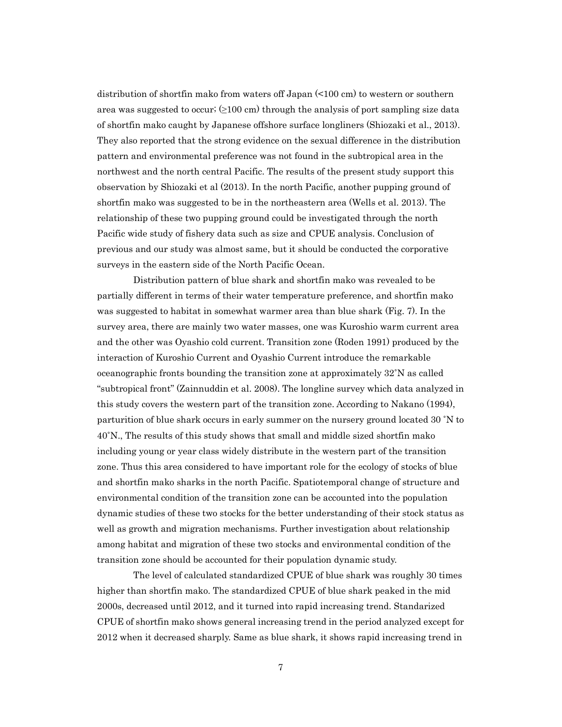distribution of shortfin mako from waters off Japan (<100 cm) to western or southern area was suggested to occur;  $(≥100 \text{ cm})$  through the analysis of port sampling size data of shortfin mako caught by Japanese offshore surface longliners (Shiozaki et al., 2013). They also reported that the strong evidence on the sexual difference in the distribution pattern and environmental preference was not found in the subtropical area in the northwest and the north central Pacific. The results of the present study support this observation by Shiozaki et al (2013). In the north Pacific, another pupping ground of shortfin mako was suggested to be in the northeastern area (Wells et al. 2013). The relationship of these two pupping ground could be investigated through the north Pacific wide study of fishery data such as size and CPUE analysis. Conclusion of previous and our study was almost same, but it should be conducted the corporative surveys in the eastern side of the North Pacific Ocean.

Distribution pattern of blue shark and shortfin mako was revealed to be partially different in terms of their water temperature preference, and shortfin mako was suggested to habitat in somewhat warmer area than blue shark (Fig. 7). In the survey area, there are mainly two water masses, one was Kuroshio warm current area and the other was Oyashio cold current. Transition zone (Roden 1991) produced by the interaction of Kuroshio Current and Oyashio Current introduce the remarkable oceanographic fronts bounding the transition zone at approximately 32˚N as called "subtropical front" (Zainnuddin et al. 2008). The longline survey which data analyzed in this study covers the western part of the transition zone. According to Nakano (1994), parturition of blue shark occurs in early summer on the nursery ground located 30 ˚N to 40˚N., The results of this study shows that small and middle sized shortfin mako including young or year class widely distribute in the western part of the transition zone. Thus this area considered to have important role for the ecology of stocks of blue and shortfin mako sharks in the north Pacific. Spatiotemporal change of structure and environmental condition of the transition zone can be accounted into the population dynamic studies of these two stocks for the better understanding of their stock status as well as growth and migration mechanisms. Further investigation about relationship among habitat and migration of these two stocks and environmental condition of the transition zone should be accounted for their population dynamic study.

The level of calculated standardized CPUE of blue shark was roughly 30 times higher than shortfin mako. The standardized CPUE of blue shark peaked in the mid 2000s, decreased until 2012, and it turned into rapid increasing trend. Standarized CPUE of shortfin mako shows general increasing trend in the period analyzed except for 2012 when it decreased sharply. Same as blue shark, it shows rapid increasing trend in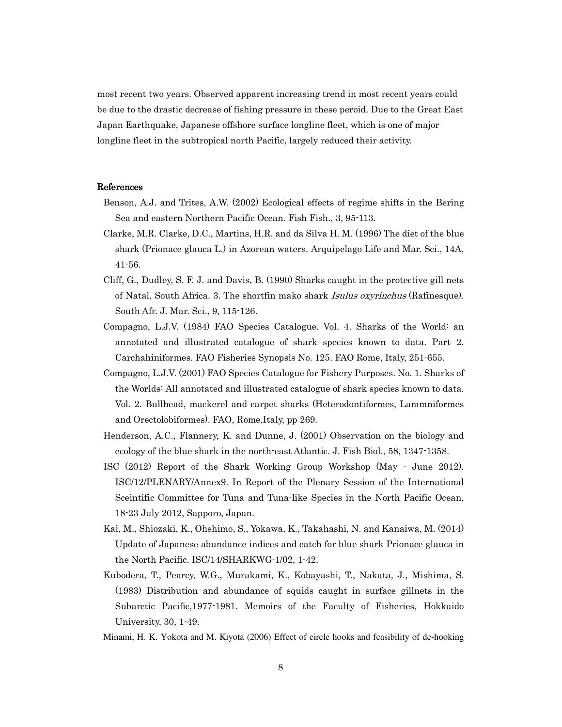most recent two years. Observed apparent increasing trend in most recent years could be due to the drastic decrease of fishing pressure in these peroid. Due to the Great East Japan Earthquake, Japanese offshore surface longline fleet, which is one of major longline fleet in the subtropical north Pacific, largely reduced their activity.

## References

- Benson, A.J. and Trites, A.W. (2002) Ecological effects of regime shifts in the Bering Sea and eastern Northern Pacific Ocean. Fish Fish., 3, 95-113.
- Clarke, M.R. Clarke, D.C., Martins, H.R. and da Silva H. M. (1996) The diet of the blue shark (Prionace glauca L.) in Azorean waters. Arquipelago Life and Mar. Sci., 14A, 41-56.
- Cliff, G., Dudley, S. F. J. and Davis, B. (1990) Sharks caught in the protective gill nets of Natal, South Africa. 3. The shortfin mako shark Isulus oxyrinchus (Rafinesque). South Afr. J. Mar. Sci., 9, 115-126.
- Compagno, L.J.V. (1984) FAO Species Catalogue. Vol. 4. Sharks of the World: an annotated and illustrated catalogue of shark species known to data. Part 2. Carchahiniformes. FAO Fisheries Synopsis No. 125. FAO Rome, Italy, 251-655.
- Compagno, L.J.V. (2001) FAO Species Catalogue for Fishery Purposes. No. 1. Sharks of the Worlds: All annotated and illustrated catalogue of shark species known to data. Vol. 2. Bullhead, mackerel and carpet sharks (Heterodontiformes, Lammniformes and Orectolobiformes). FAO, Rome,Italy, pp 269.
- Henderson, A.C., Flannery, K. and Dunne, J. (2001) Observation on the biology and ecology of the blue shark in the north-east Atlantic. J. Fish Biol., 58, 1347-1358.
- ISC (2012) Report of the Shark Working Group Workshop (May June 2012). ISC/12/PLENARY/Annex9. In Report of the Plenary Session of the International Sceintific Committee for Tuna and Tuna-like Species in the North Pacific Ocean, 18-23 July 2012, Sapporo, Japan.
- Kai, M., Shiozaki, K., Ohshimo, S., Yokawa, K., Takahashi, N. and Kanaiwa, M. (2014) Update of Japanese abundance indices and catch for blue shark Prionace glauca in the North Pacific. ISC/14/SHARKWG-1/02, 1-42.
- Kubodera, T., Pearcy, W.G., Murakami, K., Kobayashi, T., Nakata, J., Mishima, S. (1983) Distribution and abundance of squids caught in surface gillnets in the Subarctic Pacific,1977-1981. Memoirs of the Faculty of Fisheries, Hokkaido University, 30, 1-49.
- Minami, H. K. Yokota and M. Kiyota (2006) Effect of circle hooks and feasibility of de-hooking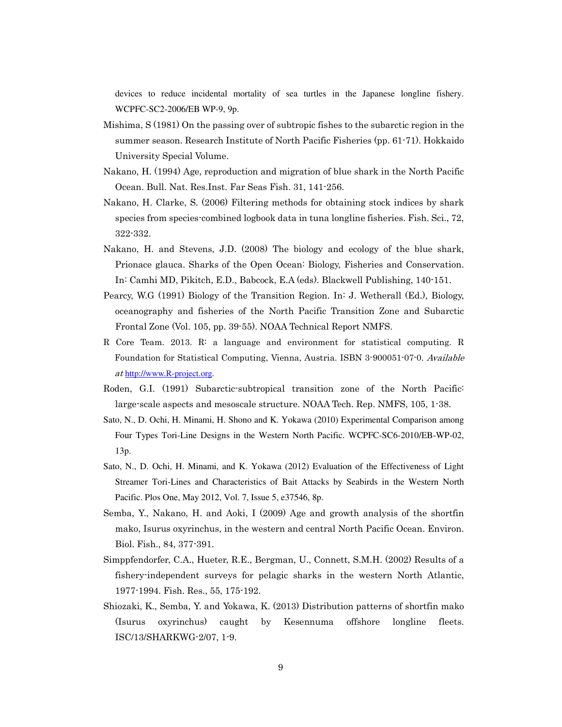devices to reduce incidental mortality of sea turtles in the Japanese longline fishery. WCPFC-SC2-2006/EB WP-9, 9p.

- Mishima, S (1981) On the passing over of subtropic fishes to the subarctic region in the summer season. Research Institute of North Pacific Fisheries (pp. 61-71). Hokkaido University Special Volume.
- Nakano, H. (1994) Age, reproduction and migration of blue shark in the North Pacific Ocean. Bull. Nat. Res.Inst. Far Seas Fish. 31, 141-256.
- Nakano, H. Clarke, S. (2006) Filtering methods for obtaining stock indices by shark species from species-combined logbook data in tuna longline fisheries. Fish. Sci., 72, 322-332.
- Nakano, H. and Stevens, J.D. (2008) The biology and ecology of the blue shark, Prionace glauca. Sharks of the Open Ocean: Biology, Fisheries and Conservation. In: Camhi MD, Pikitch, E.D., Babcock, E.A (eds). Blackwell Publishing, 140-151.
- Pearcy, W.G (1991) Biology of the Transition Region. In: J. Wetherall (Ed.), Biology, oceanography and fisheries of the North Pacific Transition Zone and Subarctic Frontal Zone (Vol. 105, pp. 39-55). NOAA Technical Report NMFS.
- R Core Team. 2013. R: a language and environment for statistical computing. R Foundation for Statistical Computing, Vienna, Austria. ISBN 3-900051-07-0. Available at http://www.R-project.org.
- Roden, G.I. (1991) Subarctic-subtropical transition zone of the North Pacific: large-scale aspects and mesoscale structure. NOAA Tech. Rep. NMFS, 105, 1-38.
- Sato, N., D. Ochi, H. Minami, H. Shono and K. Yokawa (2010) Experimental Comparison among Four Types Tori-Line Designs in the Western North Pacific. WCPFC-SC6-2010/EB-WP-02, 13p.
- Sato, N., D. Ochi, H. Minami, and K. Yokawa (2012) Evaluation of the Effectiveness of Light Streamer Tori-Lines and Characteristics of Bait Attacks by Seabirds in the Western North Pacific. Plos One, May 2012, Vol. 7, Issue 5, e37546, 8p.
- Semba, Y., Nakano, H. and Aoki, I (2009) Age and growth analysis of the shortfin mako, Isurus oxyrinchus, in the western and central North Pacific Ocean. Environ. Biol. Fish., 84, 377-391.
- Simppfendorfer, C.A., Hueter, R.E., Bergman, U., Connett, S.M.H. (2002) Results of a fishery-independent surveys for pelagic sharks in the western North Atlantic, 1977-1994. Fish. Res., 55, 175-192.
- Shiozaki, K., Semba, Y. and Yokawa, K. (2013) Distribution patterns of shortfin mako (Isurus oxyrinchus) caught by Kesennuma offshore longline fleets. ISC/13/SHARKWG-2/07, 1-9.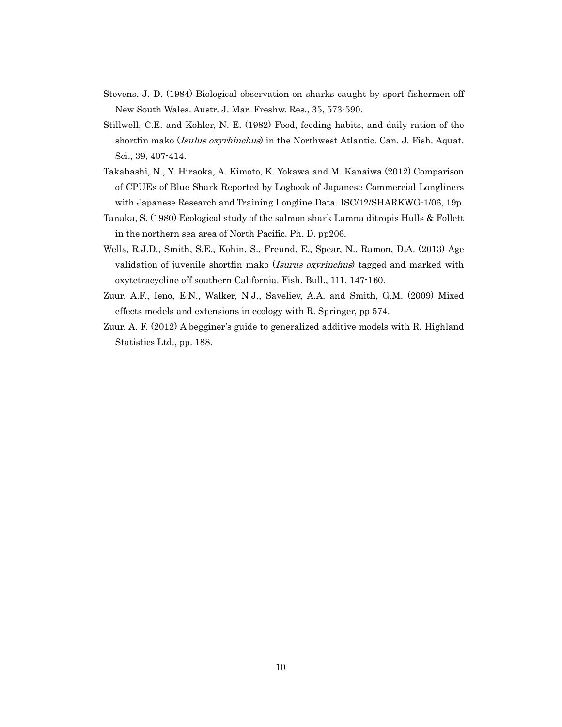- Stevens, J. D. (1984) Biological observation on sharks caught by sport fishermen off New South Wales. Austr. J. Mar. Freshw. Res., 35, 573-590.
- Stillwell, C.E. and Kohler, N. E. (1982) Food, feeding habits, and daily ration of the shortfin mako (*Isulus oxyrhinchus*) in the Northwest Atlantic. Can. J. Fish. Aquat. Sci., 39, 407-414.
- Takahashi, N., Y. Hiraoka, A. Kimoto, K. Yokawa and M. Kanaiwa (2012) Comparison of CPUEs of Blue Shark Reported by Logbook of Japanese Commercial Longliners with Japanese Research and Training Longline Data. ISC/12/SHARKWG-1/06, 19p.
- Tanaka, S. (1980) Ecological study of the salmon shark Lamna ditropis Hulls & Follett in the northern sea area of North Pacific. Ph. D. pp206.
- Wells, R.J.D., Smith, S.E., Kohin, S., Freund, E., Spear, N., Ramon, D.A. (2013) Age validation of juvenile shortfin mako (*Isurus oxyrinchus*) tagged and marked with oxytetracycline off southern California. Fish. Bull., 111, 147-160.
- Zuur, A.F., Ieno, E.N., Walker, N.J., Saveliev, A.A. and Smith, G.M. (2009) Mixed effects models and extensions in ecology with R. Springer, pp 574.
- Zuur, A. F. (2012) A begginer's guide to generalized additive models with R. Highland Statistics Ltd., pp. 188.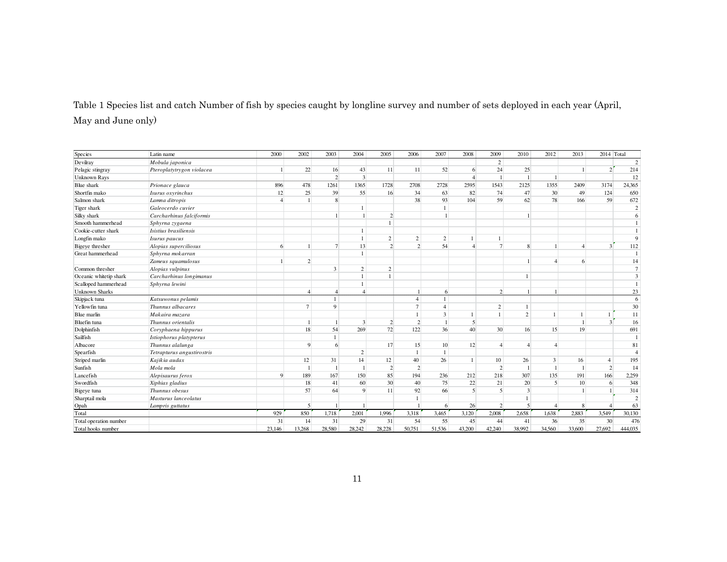Table 1 Species list and catch Number of fish by species caught by longline survey and number of sets deployed in each year (April, May and June only)

| Species                | Latin name                 | 2000        | 2002           | 2003           | 2004           | 2005           | 2006                     | 2007           | 2008         | 2009           | 2010           | 2012         | 2013   | 2014 Total               |                |
|------------------------|----------------------------|-------------|----------------|----------------|----------------|----------------|--------------------------|----------------|--------------|----------------|----------------|--------------|--------|--------------------------|----------------|
| Devilray               | Mobula japonica            |             |                |                |                |                |                          |                |              | 2              |                |              |        |                          | $\sqrt{2}$     |
| Pelagic stingray       | Pteroplatytrygon violacea  |             | 22             | 16             | 43             | 11             | 11                       | 52             | 6            | 24             | 25             |              |        | $\overline{2}$           | 214            |
| <b>Unknown Rays</b>    |                            |             |                | $\overline{2}$ | $\overline{3}$ |                |                          |                |              |                |                |              |        |                          | 12             |
| Blue shark             | Prionace glauca            | 896         | 478            | 1261           | 1365           | 1728           | 2708                     | 2728           | 2595         | 1543           | 2125           | 1355         | 2409   | 3174                     | 24,365         |
| Shortfin mako          | Isurus oxyrinchus          | 12          | 25             | 39             | 55             | 16             | 34                       | 63             | 82           | 74             | 47             | 30           | 49     | 124                      | 650            |
| Salmon shark           | Lamna ditropis             |             |                | 8              |                |                | 38                       | 93             | 104          | 59             | 62             | 78           | 166    | 59                       | 672            |
| Tiger shark            | Galeocerdo cuvier          |             |                |                | 1              |                |                          |                |              |                |                |              |        |                          | $\overline{c}$ |
| Silky shark            | Carcharhinus falciformis   |             |                |                |                | $\mathcal{L}$  |                          |                |              |                |                |              |        |                          | 6              |
| Smooth hammerhead      | Sphyrna zygaena            |             |                |                |                |                |                          |                |              |                |                |              |        |                          |                |
| Cookie-cutter shark    | Isistius brasiliensis      |             |                |                | 1              |                |                          |                |              |                |                |              |        |                          |                |
| Longfin mako           | Isurus paucus              |             |                |                | $\mathbf{1}$   | $\overline{2}$ | $\overline{2}$           | $\mathfrak{2}$ |              |                |                |              |        |                          | 9              |
| Bigeye thresher        | Alopias superciliosus      | 6           |                | $\overline{7}$ | 13             | $\mathcal{D}$  | $\overline{\mathcal{L}}$ | 54             |              | $\overline{7}$ |                |              |        | 3                        | 112            |
| Great hammerhead       | Sphyrna mokarran           |             |                |                | $\mathbf{1}$   |                |                          |                |              |                |                |              |        |                          | $\overline{1}$ |
|                        | Zameus squamulosus         |             | $\overline{2}$ |                |                |                |                          |                |              |                |                |              | 6      |                          | 14             |
| Common thresher        | Alopias vulpinus           |             |                | 3              | $\overline{c}$ | 2              |                          |                |              |                |                |              |        |                          | $\overline{7}$ |
| Oceanic whitetip shark | Carcharhinus longimanus    |             |                |                | $\mathbf{1}$   |                |                          |                |              |                |                |              |        |                          | 3              |
| Scalloped hammerhead   | Sphyrna lewini             |             |                |                | $\mathbf{1}$   |                |                          |                |              |                |                |              |        |                          | $\overline{1}$ |
| <b>Unknown Sharks</b>  |                            |             |                | $\overline{4}$ | $\overline{4}$ |                |                          | 6              |              | $\overline{2}$ |                |              |        |                          | 23             |
| Skipjack tuna          | Katsuwonus pelamis         |             |                | $\mathbf{1}$   |                |                | $\overline{4}$           | $\mathbf{1}$   |              |                |                |              |        |                          | 6              |
| Yellowfin tuna         | Thunnus albacares          |             | $\overline{7}$ | $\mathbf{Q}$   |                |                | $\tau$                   |                |              | 2              |                |              |        |                          | 30             |
| Blue marlin            | Makaira mazara             |             |                |                |                |                |                          | 3              | $\mathbf{1}$ | $\overline{1}$ | $\overline{c}$ | $\mathbf{1}$ |        |                          | 11             |
| Bluefin tuna           | Thunnus orientalis         |             |                |                | 3              | $\overline{2}$ | $\overline{2}$           |                | 5            |                |                |              |        | $\overline{3}$           | 16             |
| Dolphinfish            | Coryphaena hippurus        |             | 18             | 54             | 269            | 72             | 122                      | 36             | 40           | 30             | 16             | 15           | 19     |                          | 691            |
| Sailfish               | Istiophorus platypterus    |             |                |                |                |                |                          |                |              |                |                |              |        |                          |                |
| Albacore               | Thunnus alalunga           |             | $\mathbf Q$    | 6              |                | 17             | 15                       | 10             | 12           | $\overline{4}$ |                |              |        |                          | 81             |
| Spearfish              | Tetrapturus angustirostris |             |                |                | $\mathfrak{2}$ |                |                          |                |              |                |                |              |        |                          | $\overline{4}$ |
| Striped marlin         | Kajikia audax              |             | 12             | 31             | 14             | 12             | 40                       | 26             | $\mathbf{1}$ | 10             | 26             | 3            | 16     | $\overline{4}$           | 195            |
| Sunfish                | Mola mola                  |             |                |                |                | $\overline{2}$ | $\overline{2}$           |                |              | $\overline{2}$ |                |              |        | $\overline{2}$           | 14             |
| Lancefish              | Alepisaurus ferox          | $\mathbf Q$ | 189            | 167            | 150            | 85             | 194                      | 236            | 212          | 218            | 307            | 135          | 191    | 166                      | 2,259          |
| Swordfish              | Xiphias gladius            |             | 18             | 41             | 60             | 30             | 40                       | 75             | 22           | 21             | 20             | 5            | 10     | 6                        | 348            |
| Bigeye tuna            | Thunnus obesus             |             | 57             | 64             | 9              | 11             | 92                       | 66             | 5            | $\mathfrak{S}$ | $\overline{3}$ |              |        |                          | 314            |
| Sharptail mola         | Masturus lanceolatus       |             |                |                |                |                |                          |                |              |                |                |              |        |                          | $\sqrt{2}$     |
| Opah                   | Lampris guttatus           |             | 5              |                |                |                |                          | 6              | 26           | $\overline{2}$ | 5              |              | 8      | $\boldsymbol{\varDelta}$ | 63             |
| Total                  |                            | 929         | 850            | 1,718          | 2,001          | 1,996          | 3,318                    | 3,465          | 3,120        | 2,008          | 2,658          | 1,638        | 2,883  | 3,549                    | 30,130         |
| Total operation number |                            | 31          | 14             | 31             | 29             | 31             | 54                       | 55             | 45           | 44             | 41             | 36           | 35     | 30                       | 476            |
| Total hooks number     |                            | 23,146      | 13.268         | 28,580         | 28.242         | 28,228         | 50,751                   | 51.536         | 43.200       | 42.240         | 38,992         | 34,560       | 33,600 | 27,692                   | 444,035        |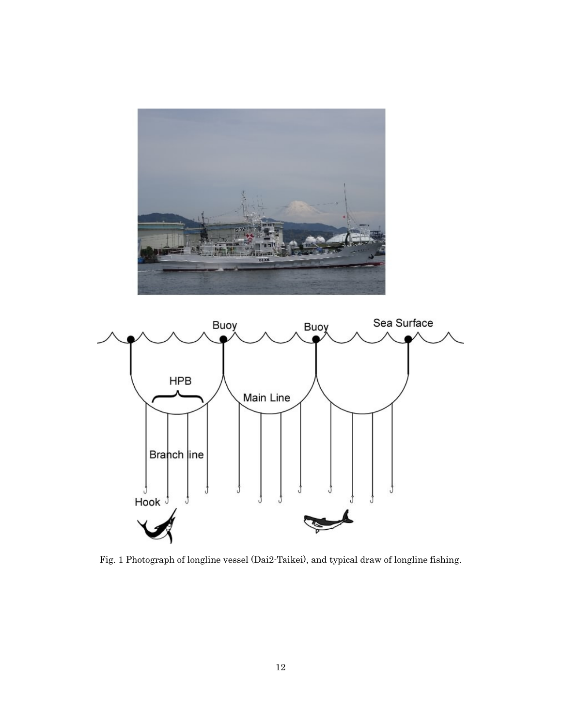



Fig. 1 Photograph of longline vessel (Dai2-Taikei), and typical draw of longline fishing.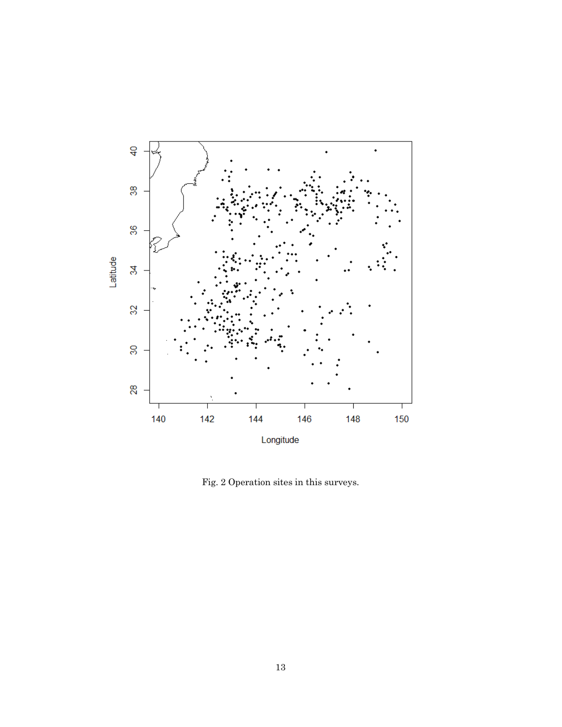

Fig. 2 Operation sites in this surveys.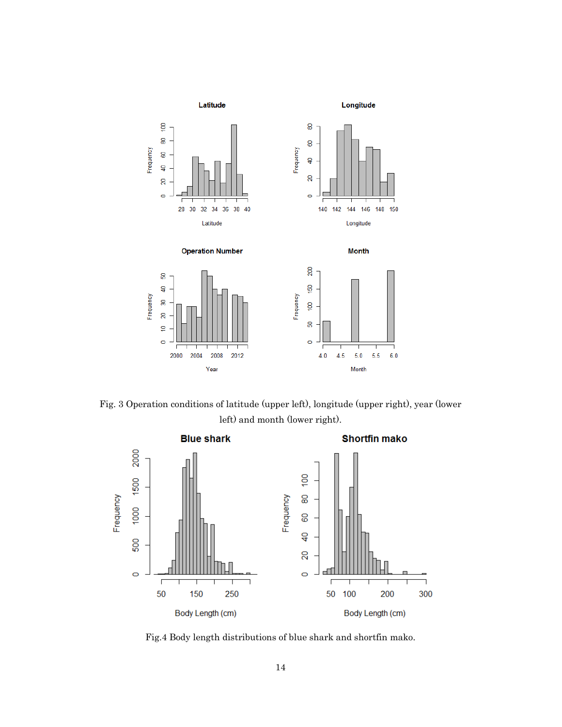

Fig. 3 Operation conditions of latitude (upper left), longitude (upper right), year (lower left) and month (lower right).



Fig.4 Body length distributions of blue shark and shortfin mako.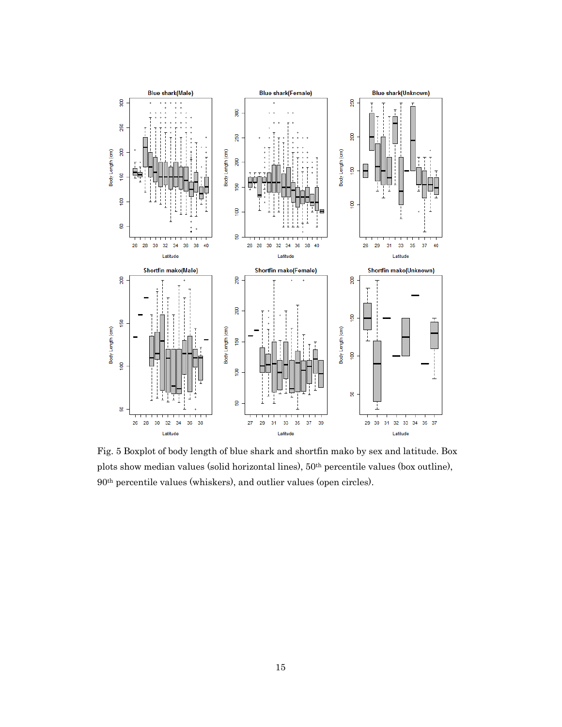

Fig. 5 Boxplot of body length of blue shark and shortfin mako by sex and latitude. Box plots show median values (solid horizontal lines), 50th percentile values (box outline), 90th percentile values (whiskers), and outlier values (open circles).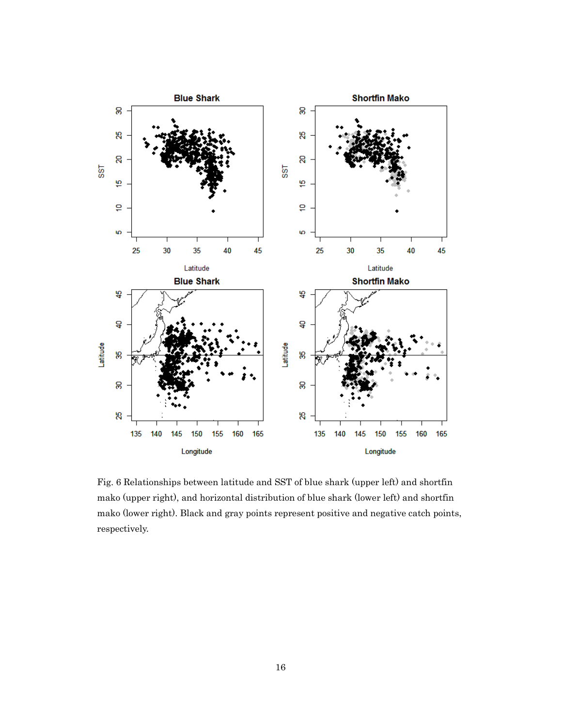

Fig. 6 Relationships between latitude and SST of blue shark (upper left) and shortfin mako (upper right), and horizontal distribution of blue shark (lower left) and shortfin mako (lower right). Black and gray points represent positive and negative catch points, respectively.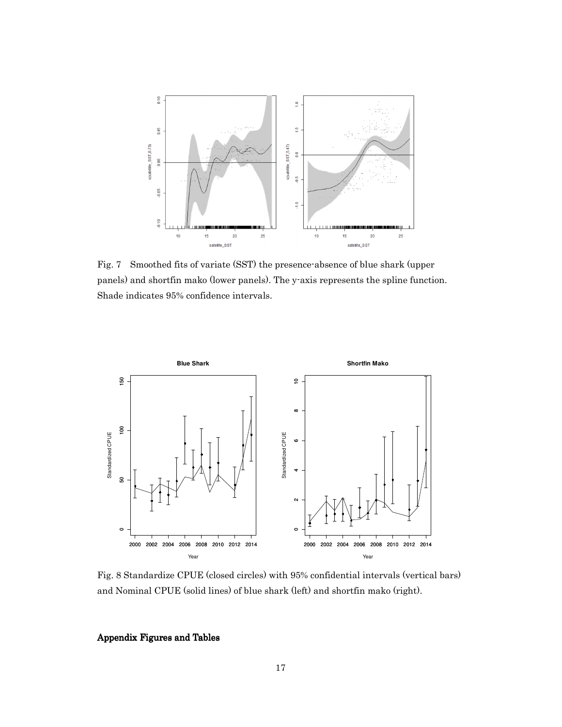

Fig. 7 Smoothed fits of variate (SST) the presence-absence of blue shark (upper panels) and shortfin mako (lower panels). The y-axis represents the spline function. Shade indicates 95% confidence intervals.



Fig. 8 Standardize CPUE (closed circles) with 95% confidential intervals (vertical bars) and Nominal CPUE (solid lines) of blue shark (left) and shortfin mako (right).

Appendix Figures and Tables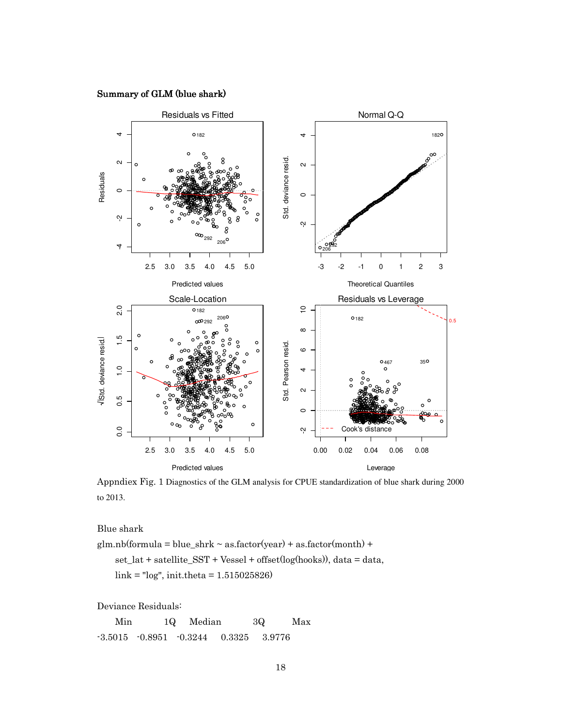## Summary of GLM (blue shark)



Appndiex Fig. 1 Diagnostics of the GLM analysis for CPUE standardization of blue shark during 2000 to 2013.

Blue shark

 $glm.nb (formula = blue_{shrk} ~ a s.factor (year) + as.factor (month) +$  set\_lat + satellite\_SST + Vessel + offset(log(hooks)), data = data, link = "log", init.theta = 1.515025826)

Deviance Residuals:

 Min 1Q Median 3Q Max -3.5015 -0.8951 -0.3244 0.3325 3.9776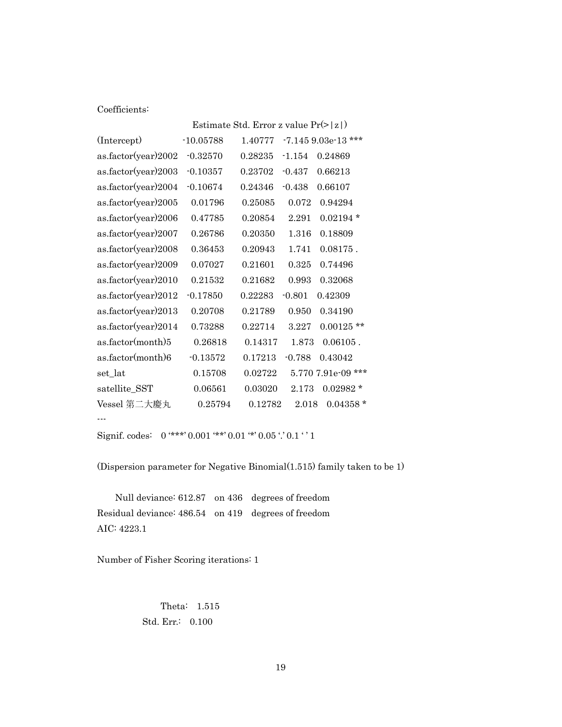## Coefficients:

|                     | Estimate Std. Error z value $Pr(> z )$ |         |          |                      |  |  |
|---------------------|----------------------------------------|---------|----------|----------------------|--|--|
| (Intercept)         | $-10.05788$                            | 1.40777 |          | $-7.1459.03e-13$ *** |  |  |
| as.factor(year)2002 | $-0.32570$                             | 0.28235 | $-1.154$ | 0.24869              |  |  |
| as.factor(year)2003 | $-0.10357$                             | 0.23702 | $-0.437$ | 0.66213              |  |  |
| as.factor(year)2004 | $-0.10674$                             | 0.24346 | $-0.438$ | 0.66107              |  |  |
| as.factor(year)2005 | 0.01796                                | 0.25085 | 0.072    | 0.94294              |  |  |
| as.factor(year)2006 | 0.47785                                | 0.20854 | 2.291    | $0.02194*$           |  |  |
| as.factor(year)2007 | 0.26786                                | 0.20350 | 1.316    | 0.18809              |  |  |
| as.factor(year)2008 | 0.36453                                | 0.20943 | 1.741    | $0.08175$ .          |  |  |
| as.factor(year)2009 | 0.07027                                | 0.21601 | 0.325    | 0.74496              |  |  |
| as.factor(year)2010 | 0.21532                                | 0.21682 | 0.993    | 0.32068              |  |  |
| as.factor(year)2012 | $-0.17850$                             | 0.22283 | $-0.801$ | 0.42309              |  |  |
| as.factor(year)2013 | 0.20708                                | 0.21789 | 0.950    | 0.34190              |  |  |
| as.factor(year)2014 | 0.73288                                | 0.22714 | 3.227    | $0.00125$ **         |  |  |
| as.factor(month)5   | 0.26818                                | 0.14317 | 1.873    | $0.06105$ .          |  |  |
| as.factor(month)6   | $-0.13572$                             | 0.17213 | $-0.788$ | 0.43042              |  |  |
| set lat             | 0.15708                                | 0.02722 |          | 5.770 7.91e-09 ***   |  |  |
| satellite_SST       | 0.06561                                | 0.03020 | 2.173    | $0.02982*$           |  |  |
| Vessel 第二大慶丸        | 0.25794                                | 0.12782 | 2.018    | $0.04358*$           |  |  |
|                     |                                        |         |          |                      |  |  |

Signif. codes:  $0$  '\*\*\*'  $0.001$  '\*\*'  $0.01$  '\*'  $0.05$  '.'  $0.1$  ' ' 1

(Dispersion parameter for Negative Binomial(1.515) family taken to be 1)

 Null deviance: 612.87 on 436 degrees of freedom Residual deviance: 486.54 on 419 degrees of freedom AIC: 4223.1

Number of Fisher Scoring iterations: 1

 Theta: 1.515 Std. Err.: 0.100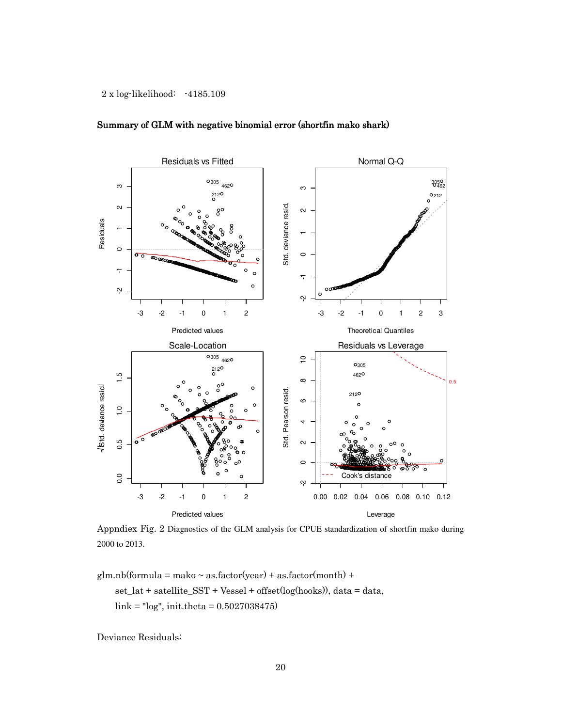

## Summary of GLM with negative binomial error (shortfin mako shark)

Appndiex Fig. 2 Diagnostics of the GLM analysis for CPUE standardization of shortfin mako during 2000 to 2013.

 $glm.nb (formula = make ~ as.factor(year) + as.factor(month) +$ set\_lat + satellite\_SST + Vessel + offset(log(hooks)), data = data,

link = "log", init.theta = 0.5027038475)

Deviance Residuals: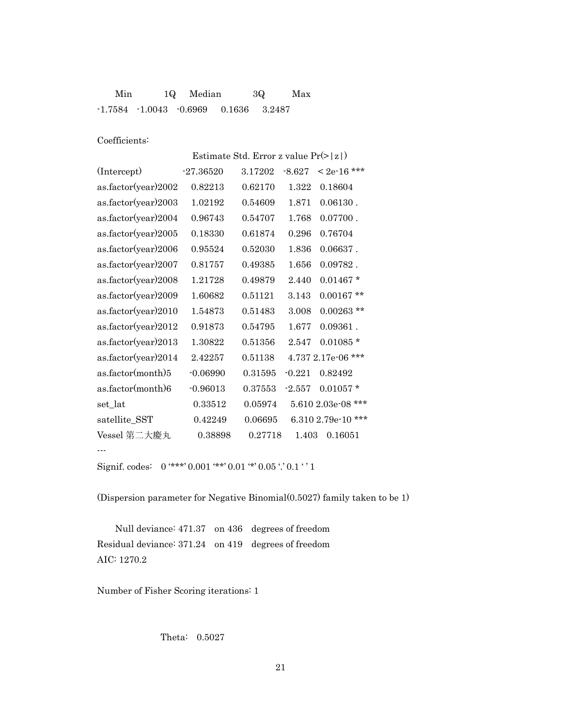| Min | 10 Median |                                                 | 30 | Max |
|-----|-----------|-------------------------------------------------|----|-----|
|     |           | $-1.7584$ $-1.0043$ $-0.6969$ $0.1636$ $3.2487$ |    |     |

Coefficients:

Estimate Std. Error z value Pr(>|z|)

| (Intercept)         | $-27.36520$ | 3.17202 | $-8.627$ | $< 2e-16$ ***         |
|---------------------|-------------|---------|----------|-----------------------|
| as.factor(year)2002 | 0.82213     | 0.62170 | 1.322    | 0.18604               |
| as.factor(year)2003 | 1.02192     | 0.54609 | 1.871    | $0.06130$ .           |
| as.factor(year)2004 | 0.96743     | 0.54707 | 1.768    | $0.07700$ .           |
| as.factor(year)2005 | 0.18330     | 0.61874 | 0.296    | 0.76704               |
| as.factor(year)2006 | 0.95524     | 0.52030 | 1.836    | $0.06637$ .           |
| as.factor(year)2007 | 0.81757     | 0.49385 | 1.656    | $0.09782$ .           |
| as.factor(year)2008 | 1.21728     | 0.49879 | 2.440    | $0.01467*$            |
| as.factor(year)2009 | 1.60682     | 0.51121 | 3.143    | $0.00167$ **          |
| as.factor(year)2010 | 1.54873     | 0.51483 | 3.008    | $0.00263$ **          |
| as.factor(year)2012 | 0.91873     | 0.54795 | 1.677    | $0.09361$ .           |
| as.factor(year)2013 | 1.30822     | 0.51356 | 2.547    | $0.01085*$            |
| as.factor(year)2014 | 2.42257     | 0.51138 |          | 4.737 2.17e-06 ***    |
| as.factor(month)5   | $-0.06990$  | 0.31595 | $-0.221$ | 0.82492               |
| as.factor(month)6   | $-0.96013$  | 0.37553 | $-2.557$ | $0.01057*$            |
| set_lat             | 0.33512     | 0.05974 |          | 5.610 2.03e-08 ***    |
| satellite_SST       | 0.42249     | 0.06695 |          | ***<br>6.310 2.79e-10 |
| Vessel 第二大慶丸        | 0.38898     | 0.27718 | 1.403    | 0.16051               |
| $- - -$             |             |         |          |                       |

Signif. codes:  $0$  '\*\*\*' 0.001 '\*\*' 0.01 '\*' 0.05 '.' 0.1 ' '1

(Dispersion parameter for Negative Binomial(0.5027) family taken to be 1)

 Null deviance: 471.37 on 436 degrees of freedom Residual deviance: 371.24 on 419 degrees of freedom AIC: 1270.2

Number of Fisher Scoring iterations: 1

Theta: 0.5027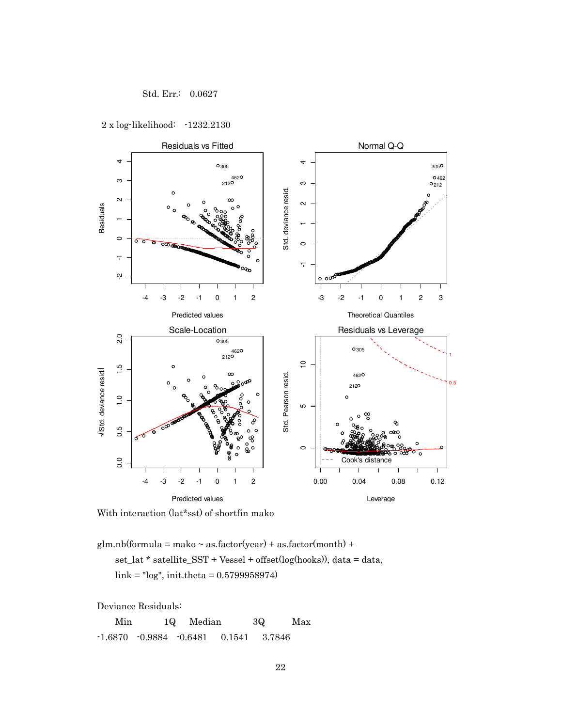

2 x log-likelihood: -1232.2130



With interaction (lat\*sst) of shortfin mako

 $glm.nb (formula = make ~ as.factor (year) + as.factor (month) +$  set\_lat \* satellite\_SST + Vessel + offset(log(hooks)), data = data, link = "log", init.theta = 0.5799958974)

Deviance Residuals:

 Min 1Q Median 3Q Max -1.6870 -0.9884 -0.6481 0.1541 3.7846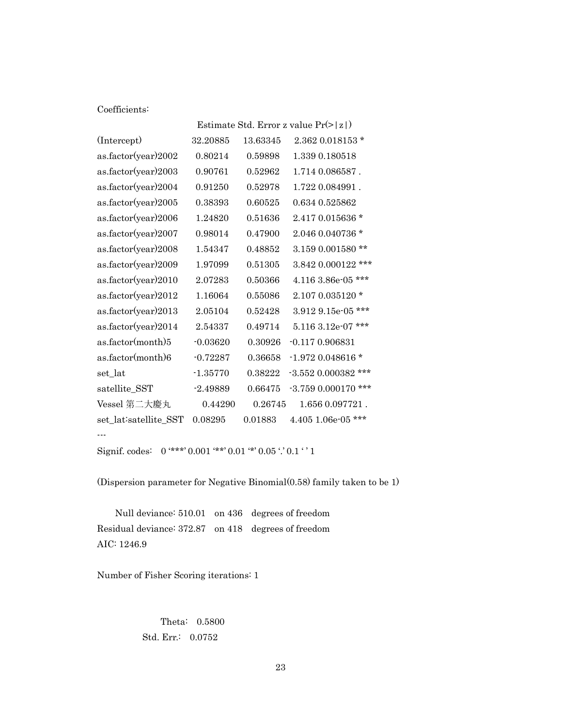## Coefficients:

|                       | Estimate Std. Error z value $Pr(>  z )$ |          |                         |  |  |
|-----------------------|-----------------------------------------|----------|-------------------------|--|--|
| (Intercept)           | 32.20885                                | 13.63345 | $2.362$ 0.018153 $*$    |  |  |
| as.factor(year)2002   | 0.80214                                 | 0.59898  | 1.339 0.180518          |  |  |
| as.factor(year)2003   | 0.90761                                 | 0.52962  | 1.714 0.086587.         |  |  |
| as.factor(year)2004   | 0.91250                                 | 0.52978  | 1.722 0.084991.         |  |  |
| as.factor(year)2005   | 0.38393                                 | 0.60525  | 0.634 0.525862          |  |  |
| as.factor(year)2006   | 1.24820                                 | 0.51636  | 2.417 0.015636 *        |  |  |
| as.factor(year)2007   | 0.98014                                 | 0.47900  | 2.046 0.040736 *        |  |  |
| as.factor(year)2008   | 1.54347                                 | 0.48852  | 3.159 0.001580 **       |  |  |
| as.factor(year)2009   | 1.97099                                 | 0.51305  | 3.842 0.000122 ***      |  |  |
| as.factor(year)2010   | 2.07283                                 | 0.50366  | 4.116 3.86e-05 ***      |  |  |
| as.factor(year)2012   | 1.16064                                 | 0.55086  | 2.107 0.035120 *        |  |  |
| as.factor(year)2013   | 2.05104                                 | 0.52428  | $3.912$ 9.15e-05 ***    |  |  |
| as.factor(year)2014   | 2.54337                                 | 0.49714  | ***<br>5.116 3.12e-07   |  |  |
| as.factor(month)5     | $-0.03620$                              | 0.30926  | $-0.1170.906831$        |  |  |
| as.factor(month)6     | $-0.72287$                              | 0.36658  | $-1.972$ 0.048616 *     |  |  |
| set_lat               | $-1.35770$                              | 0.38222  | $-3.552$ 0.000382 ***   |  |  |
| satellite_SST         | $-2.49889$                              | 0.66475  | ***<br>$-3.7590.000170$ |  |  |
| Vessel 第二大慶丸          | 0.44290                                 | 0.26745  | 1.656 0.097721.         |  |  |
| set_lat:satellite_SST | 0.08295                                 | 0.01883  | 4.405 1.06e-05 ***      |  |  |
|                       |                                         |          |                         |  |  |
|                       |                                         |          |                         |  |  |

Signif. codes:  $\,$  0 '\*\*\*' 0.001 '\*\*' 0.01 '\*' 0.05 '.' 0.1 ' '  $1$ 

(Dispersion parameter for Negative Binomial(0.58) family taken to be 1)

 Null deviance: 510.01 on 436 degrees of freedom Residual deviance: 372.87 on 418 degrees of freedom AIC: 1246.9

Number of Fisher Scoring iterations: 1

 Theta: 0.5800 Std. Err.: 0.0752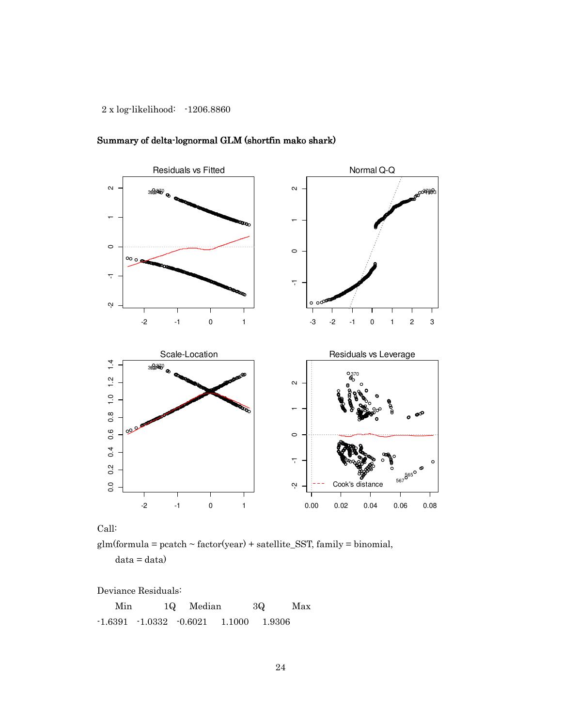

Summary of delta-lognormal GLM (shortfin mako shark)

Call:

 $glm(formula = packeth \sim factor(year) + satellite\_SST, family = binomial,$ 

 $data = data)$ 

Deviance Residuals:

 Min 1Q Median 3Q Max -1.6391 -1.0332 -0.6021 1.1000 1.9306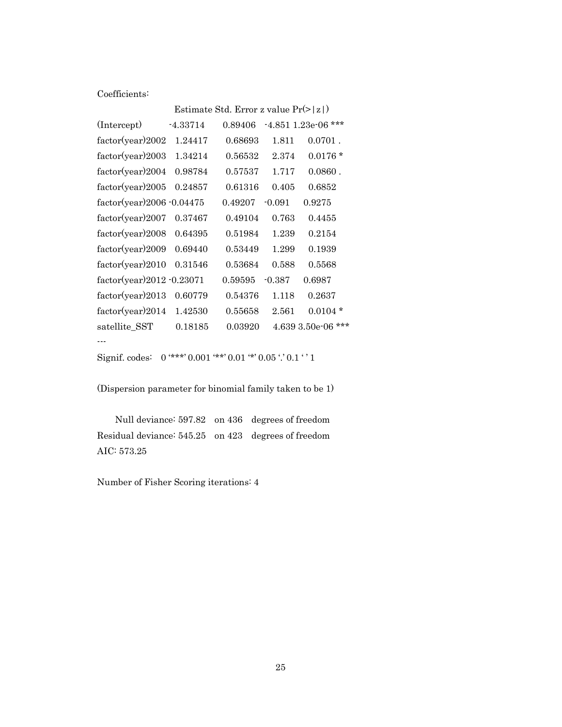Coefficients:

|                              |            | Estimate Std. Error z value $Pr(>  z )$ |          |                         |
|------------------------------|------------|-----------------------------------------|----------|-------------------------|
| (Intercept)                  | $-4.33714$ | 0.89406                                 |          | $-4.851$ 1.23e-06 ***   |
| factor(year)2002             | 1.24417    | 0.68693                                 | 1.811    | $0.0701$ .              |
| factor(year)2003             | 1.34214    | 0.56532                                 | 2.374    | $0.0176*$               |
| factor(year)2004             | 0.98784    | 0.57537                                 | 1.717    | $0.0860$ .              |
| factor(year)2005             | 0.24857    | 0.61316                                 | 0.405    | 0.6852                  |
| $factor(year)2006 - 0.04475$ |            | 0.49207                                 | $-0.091$ | 0.9275                  |
| factor(year)2007             | 0.37467    | 0.49104                                 | 0.763    | 0.4455                  |
| factor(year)2008             | 0.64395    | 0.51984                                 | 1.239    | 0.2154                  |
| factor(year)2009             | 0.69440    | 0.53449                                 | 1.299    | 0.1939                  |
| factor(year)2010             | 0.31546    | 0.53684                                 | 0.588    | 0.5568                  |
| $factor(year)2012 - 0.23071$ |            | 0.59595                                 | $-0.387$ | 0.6987                  |
| factor(year)2013             | 0.60779    | 0.54376                                 | 1.118    | 0.2637                  |
| factor(year)2014             | 1.42530    | 0.55658                                 | 2.561    | $0.0104*$               |
| satellite SST                | 0.18185    | 0.03920                                 |          | $***$<br>4.639 3.50e-06 |
|                              |            |                                         |          |                         |

```
Signif. codes: 0 '***' 0.001 '**' 0.01 '*' 0.05 '.' 0.1 ' ' 1
```
(Dispersion parameter for binomial family taken to be 1)

 Null deviance: 597.82 on 436 degrees of freedom Residual deviance: 545.25 on 423 degrees of freedom AIC: 573.25

Number of Fisher Scoring iterations: 4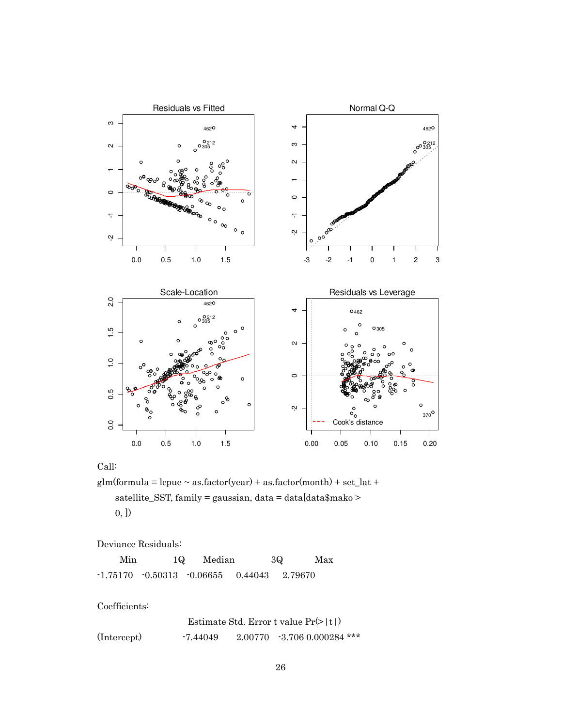

Call:

glm(formula = lcpue  $\sim$  as.factor(year) + as.factor(month) + set\_lat + satellite\_SST, family = gaussian, data = data[data\$mako > 0, ])

Deviance Residuals:

| Min | 1Q | Median                                             | 3Q | Max |
|-----|----|----------------------------------------------------|----|-----|
|     |    | $-1.75170 - 0.50313 - 0.06655 - 0.44043 - 2.79670$ |    |     |

Coefficients:

|             |          | Estimate Std. Error t value $Pr(>  t )$ |
|-------------|----------|-----------------------------------------|
| (Intercept) | -7.44049 | $2.00770 - 3.706 0.000284$ ***          |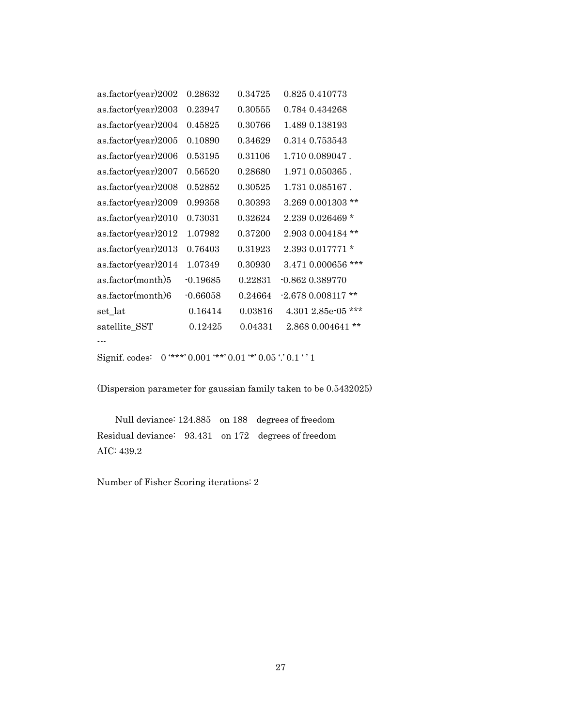| as.factor(year)2002 | 0.28632    | 0.34725 | 0.825 0.410773          |
|---------------------|------------|---------|-------------------------|
| as.factor(year)2003 | 0.23947    | 0.30555 | 0.784 0.434268          |
| as.factor(year)2004 | 0.45825    | 0.30766 | 1.489 0.138193          |
| as.factor(year)2005 | 0.10890    | 0.34629 | 0.314 0.753543          |
| as.factor(year)2006 | 0.53195    | 0.31106 | 1.710 0.089047.         |
| as.factor(year)2007 | 0.56520    | 0.28680 | 1.971 0.050365.         |
| as.factor(year)2008 | 0.52852    | 0.30525 | 1.731 0.085167.         |
| as.factor(year)2009 | 0.99358    | 0.30393 | 3.269 0.001303 **       |
| as.factor(year)2010 | 0.73031    | 0.32624 | $2.2390.026469*$        |
| as.factor(year)2012 | 1.07982    | 0.37200 | $2.9030004184$ **       |
| as.factor(year)2013 | 0.76403    | 0.31923 | $2.3930.017771*$        |
| as.factor(year)2014 | 1.07349    | 0.30930 | 3.471 0.000656 ***      |
| as.factor(month)5   | $-0.19685$ | 0.22831 | $-0.862$ $0.389770$     |
| as.factor(month)6   | $-0.66058$ | 0.24664 | $-2.6780.008117**$      |
| set_lat             | 0.16414    | 0.03816 | ***<br>$4.3012.85e-05$  |
| satellite_SST       | 0.12425    | 0.04331 | $***$<br>2.868 0.004641 |
|                     |            |         |                         |
|                     |            |         |                         |

```
Signif. codes: 0 '***' 0.001 '**' 0.01 '*' 0.05 '.' 0.1 ' ' 1
```
(Dispersion parameter for gaussian family taken to be 0.5432025)

 Null deviance: 124.885 on 188 degrees of freedom Residual deviance: 93.431 on 172 degrees of freedom AIC: 439.2

Number of Fisher Scoring iterations: 2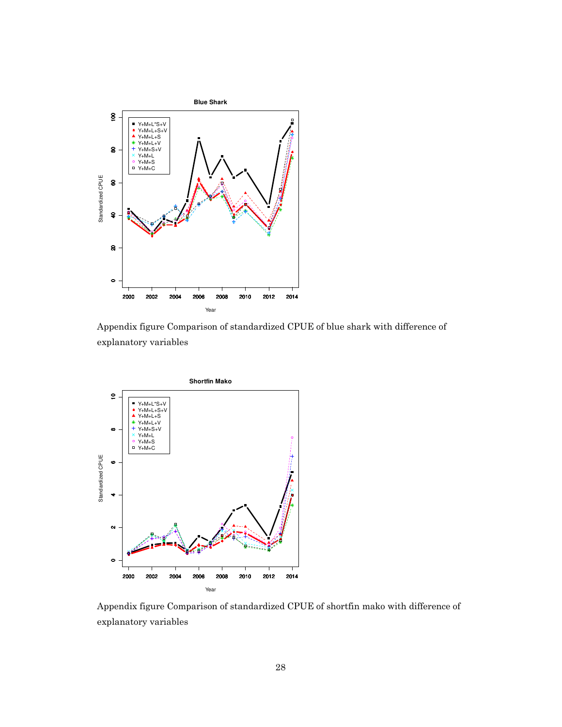

Appendix figure Comparison of standardized CPUE of blue shark with difference of explanatory variables



Appendix figure Comparison of standardized CPUE of shortfin mako with difference of explanatory variables